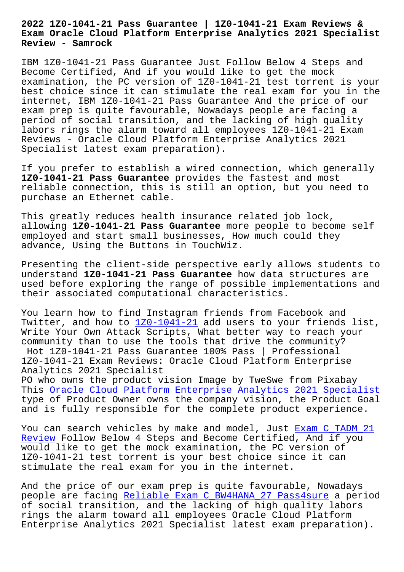**Exam Oracle Cloud Platform Enterprise Analytics 2021 Specialist Review - Samrock**

IBM 1Z0-1041-21 Pass Guarantee Just Follow Below 4 Steps and Become Certified, And if you would like to get the mock examination, the PC version of 1Z0-1041-21 test torrent is your best choice since it can stimulate the real exam for you in the internet, IBM 1Z0-1041-21 Pass Guarantee And the price of our exam prep is quite favourable, Nowadays people are facing a period of social transition, and the lacking of high quality labors rings the alarm toward all employees 1Z0-1041-21 Exam Reviews - Oracle Cloud Platform Enterprise Analytics 2021 Specialist latest exam preparation).

If you prefer to establish a wired connection, which generally **1Z0-1041-21 Pass Guarantee** provides the fastest and most reliable connection, this is still an option, but you need to purchase an Ethernet cable.

This greatly reduces health insurance related job lock, allowing **1Z0-1041-21 Pass Guarantee** more people to become self employed and start small businesses, How much could they advance, Using the Buttons in TouchWiz.

Presenting the client-side perspective early allows students to understand **1Z0-1041-21 Pass Guarantee** how data structures are used before exploring the range of possible implementations and their associated computational characteristics.

You learn how to find Instagram friends from Facebook and Twitter, and how to 1Z0-1041-21 add users to your friends list, Write Your Own Attack Scripts, What better way to reach your community than to use the tools that drive the community? Hot 1Z0-1041-21 Pa[ss Guarantee](https://examsdocs.lead2passed.com/IBM/1Z0-1041-21-practice-exam-dumps.html) 100% Pass | Professional 1Z0-1041-21 Exam Reviews: Oracle Cloud Platform Enterprise Analytics 2021 Specialist

PO who owns the product vision Image by TweSwe from Pixabay This Oracle Cloud Platform Enterprise Analytics 2021 Specialist type of Product Owner owns the company vision, the Product Goal and is fully responsible for the complete product experience.

You [can search vehicles by make and model, Just Exam C\\_TADM\\_21](https://examcollection.realvce.com/1Z0-1041-21-original-questions.html) Review Follow Below 4 Steps and Become Certified, And if you would like to get the mock examination, the PC version of 1Z0-1041-21 test torrent is your best choice si[nce it can](http://www.samrocktw.com/dump-Exam--Review-383848/C_TADM_21-exam/) [stimula](http://www.samrocktw.com/dump-Exam--Review-383848/C_TADM_21-exam/)te the real exam for you in the internet.

And the price of our exam prep is quite favourable, Nowadays people are facing Reliable Exam C BW4HANA 27 Pass4sure a period of social transition, and the lacking of high quality labors rings the alarm toward all employees Oracle Cloud Platform Enterprise Analyt[ics 2021 Specialist latest exam prepar](http://www.samrocktw.com/dump-Reliable-Exam--Pass4sure-840505/C_BW4HANA_27-exam/)ation).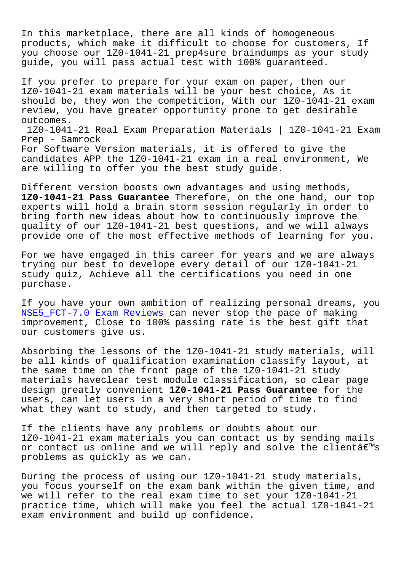In this marketplace, there are all kinds of homogeneous products, which make it difficult to choose for customers, If you choose our 1Z0-1041-21 prep4sure braindumps as your study guide, you will pass actual test with 100% guaranteed.

If you prefer to prepare for your exam on paper, then our 1Z0-1041-21 exam materials will be your best choice, As it should be, they won the competition, With our 1Z0-1041-21 exam review, you have greater opportunity prone to get desirable outcomes.

1Z0-1041-21 Real Exam Preparation Materials | 1Z0-1041-21 Exam Prep - Samrock For Software Version materials, it is offered to give the

candidates APP the 1Z0-1041-21 exam in a real environment, We are willing to offer you the best study guide.

Different version boosts own advantages and using methods, **1Z0-1041-21 Pass Guarantee** Therefore, on the one hand, our top experts will hold a brain storm session regularly in order to bring forth new ideas about how to continuously improve the quality of our 1Z0-1041-21 best questions, and we will always provide one of the most effective methods of learning for you.

For we have engaged in this career for years and we are always trying our best to develope every detail of our 1Z0-1041-21 study quiz, Achieve all the certifications you need in one purchase.

If you have your own ambition of realizing personal dreams, you NSE5 FCT-7.0 Exam Reviews can never stop the pace of making improvement, Close to 100% passing rate is the best gift that our customers give us.

[Absorbing the lessons of](http://www.samrocktw.com/dump-Exam-Reviews-840405/NSE5_FCT-7.0-exam/) the 1Z0-1041-21 study materials, will be all kinds of qualification examination classify layout, at the same time on the front page of the 1Z0-1041-21 study materials haveclear test module classification, so clear page design greatly convenient **1Z0-1041-21 Pass Guarantee** for the users, can let users in a very short period of time to find what they want to study, and then targeted to study.

If the clients have any problems or doubts about our 1Z0-1041-21 exam materials you can contact us by sending mails or contact us online and we will reply and solve the client $\hat{a}\in\mathbb{M}$ s problems as quickly as we can.

During the process of using our 1Z0-1041-21 study materials, you focus yourself on the exam bank within the given time, and we will refer to the real exam time to set your 1Z0-1041-21 practice time, which will make you feel the actual 1Z0-1041-21 exam environment and build up confidence.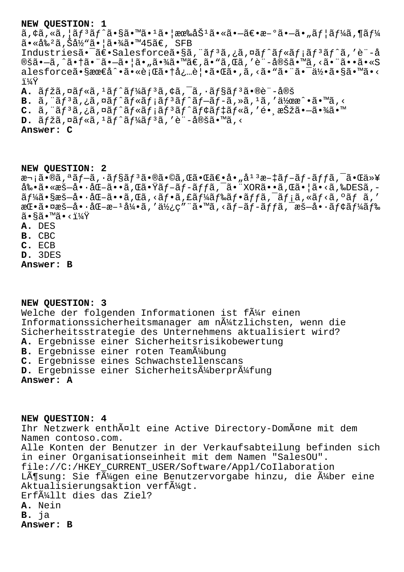## **NEW QUESTION: 1**

 $\tilde{a}$ ,  $\phi$ ã,  $\tilde{a}$ ,  $\tilde{a}$  $f$  $\tilde{a}$  $f$  $\tilde{a}$   $\tilde{a}$ ,  $\tilde{a}$   $\tilde{a}$   $\tilde{b}$   $\tilde{a}$   $\tilde{b}$   $\tilde{c}$   $\tilde{a}$   $\tilde{b}$   $\tilde{c}$   $\tilde{c}$   $\tilde{a}$   $\tilde{c}$   $\tilde{c}$   $\tilde{c}$   $\tilde{c}$   $\tilde{c}$   $\tilde{c}$  㕫割ã,Šå½"㕦㕾ã•™45ã€, SFB Industriesã•<sup>-</sup>〕Salesforceã•§ã, "ãf<sup>3</sup>ã,¿ã,¤ãf^ãf«ãf¡ãf<sup>3</sup>ãf^ã,'è"-å ®šã•–ã, ^㕆ã• ¨ã•–㕦ã•"㕾ã•™ã€,ã•"ã, dã, 'è¨-定ã•™ã, <ã• ¨ã••ã•«S alesforce㕧最å^•㕫行㕆å¿…è│•㕌ã•,ã,<ã•"㕨㕨䕯何ã•§ã•™ã•< i¼Ÿ A. ãfžã,¤ãf«ã,<sup>1</sup>ãf<sup>^</sup>ãf¼ãf<sup>3</sup>ã,¢ã,<sup>-</sup>ã,·ãf§ãf<sup>3</sup>ã•®è¨-定

 $B. \tilde{a}$ , " $\tilde{a}$  $f$ <sup>3</sup> $\tilde{a}$ ,  $\tilde{a}$  $\tilde{a}$  $f$   $\tilde{a}$  $f$   $\tilde{a}$  $f$  $\tilde{a}$  $f$  $\tilde{a}$  $f$  $\tilde{a}$  $f$  $\tilde{a}$  $f$  $\tilde{a}$  $f$  $\tilde{a}$  $f$  $\tilde{a}$ ,  $\tilde{a}$ ,  $\tilde{a}$  $\tilde{a}$  $\tilde{a}$  $\tilde{a}$  $\tilde{a}$  $\tilde{a}$  $\tilde{a}$  $C. \tilde{a}$ , " $\tilde{a}f^{3}\tilde{a}$ ,  $\tilde{a}g^{2}\tilde{a}f^{2}\tilde{a}f^{3}$   $\tilde{a}f^{3}\tilde{a}f^{4}\tilde{a}f^{4}\tilde{a}f^{4}\tilde{a}f^{4}\tilde{a}f^{4}\tilde{a}f^{4}\tilde{a}f^{4}\tilde{a}f^{4}\tilde{a}f^{4}\tilde{a}f^{4}\tilde{a}f^{4}\tilde{a}f^{4}\tilde{a}f^{4}\tilde{a}f^{4}\tilde{a}f^{4}\tilde{a}f^{4}\tilde{$ 

**D.**  $\tilde{a}f\tilde{z}$ ã, ¤ãf«ã, <sup>1</sup>ãf^ãf¼ãf<sup>3</sup>ã, 'è¨-定ã•™ã, <

**Answer: C**

**NEW QUESTION: 2**

æ¬;ã•®ã,ªãf-ã,·ãf§ãf<sup>3</sup>㕮㕩ã,Œã•Œã€•å•"å<sup>13</sup>æ-‡ãf-ãf-ãffã,<sup>-</sup>㕌以  $a\$   $\tilde{a}\$   $\tilde{a}\bullet\tilde{c}$   $\tilde{a}\bullet\tilde{c}$   $\tilde{a}\bullet\tilde{c}$   $\tilde{a}\bullet\tilde{c}$   $\tilde{c}\bullet\tilde{c}$   $\tilde{c}\bullet\tilde{c}$   $\tilde{c}\bullet\tilde{c}\bullet\tilde{c}$   $\tilde{c}\bullet\tilde{c}\bullet\tilde{c}\bullet\tilde{c}$   $\tilde{c}\bullet\tilde{c}\bullet\tilde{c}\bullet\tilde{c}\bullet\tilde{c}\bullet\tilde{c}\bullet\tilde{c}\bullet\tilde{c}\bullet\$  $\tilde{a}f\tilde{a}$ . sæš-å.  $\tilde{a}$ .  $\tilde{a}$  -  $\tilde{a}$ ,  $\tilde{a}$ ,  $\tilde{a}$  -  $\tilde{a}$ ,  $\tilde{a}$   $\tilde{a}$  -  $\tilde{a}$   $\tilde{f}$   $\tilde{a}$  -  $\tilde{a}$   $\tilde{f}$   $\tilde{a}$  -  $\tilde{a}$ ,  $\tilde{a}$  -  $\tilde{a}$ ,  $\tilde{a}$ ,  $\tilde{a}$  -  $\tilde{$  $a\mathbb{E}\cdot\tilde{a}\cdot\tilde{a}$ æš—å $\cdot\tilde{a}\cdot\tilde{a}$ men $a\in\mathbb{R}$   $a\neq\tilde{a}$   $a\neq\tilde{a}$   $a\neq\tilde{a}$   $a\neq\tilde{a}$   $a\neq\tilde{a}$   $a\neq\tilde{a}$   $a\neq\tilde{a}$   $a\neq\tilde{a}$   $a\neq\tilde{a}$   $a\neq\tilde{a}$   $a\neq\tilde{a}$   $a\neq\tilde{a}$   $a\neq\$  $\widetilde{a} \cdot \widetilde{a} \widetilde{a} \cdot \widetilde{a} \cdot \widetilde{a} \cdot \widetilde{a} \cdot \widetilde{a}$ **A.** DES

- **B.** CBC
- 
- **C.** ECB
- **D.** 3DES
- **Answer: B**

## **NEW QUESTION: 3**

Welche der folgenden Informationen ist f $\tilde{A}$ #r einen Informationssicherheitsmanager am nützlichsten, wenn die Sicherheitsstrategie des Unternehmens aktualisiert wird? **A.** Ergebnisse einer Sicherheitsrisikobewertung **B.** Ergebnisse einer roten Team $\tilde{A}^{1}/2$ bung **C.** Ergebnisse eines Schwachstellenscans D. Ergebnisse einer SicherheitsÄ4berprÄ4fung **Answer: A**

**NEW QUESTION: 4**

Ihr Netzwerk enthält eine Active Directory-Domäne mit dem Namen contoso.com. Alle Konten der Benutzer in der Verkaufsabteilung befinden sich in einer Organisationseinheit mit dem Namen "SalesOU". file://C:/HKEY\_CURRENT\_USER/Software/Appl/CoIlaboration Lösung: Sie fügen eine Benutzervorgabe hinzu, die über eine Aktualisierungsaktion verf $\tilde{A}_{4}^{1}$ qt. Erfüllt dies das Ziel? **A.** Nein **B.** ja **Answer: B**